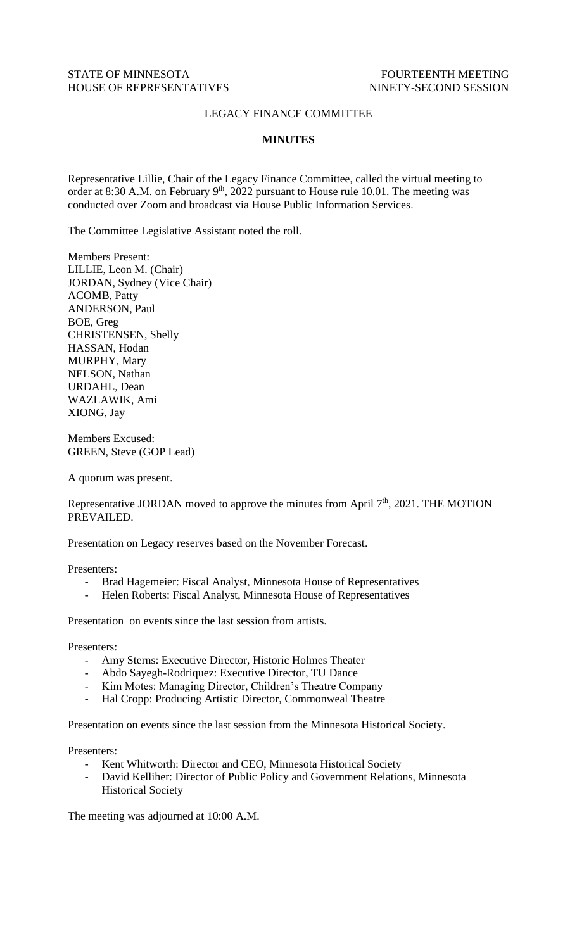## LEGACY FINANCE COMMITTEE

## **MINUTES**

Representative Lillie, Chair of the Legacy Finance Committee, called the virtual meeting to order at 8:30 A.M. on February 9<sup>th</sup>, 2022 pursuant to House rule 10.01. The meeting was conducted over Zoom and broadcast via House Public Information Services.

The Committee Legislative Assistant noted the roll.

Members Present: LILLIE, Leon M. (Chair) JORDAN, Sydney (Vice Chair) ACOMB, Patty ANDERSON, Paul BOE, Greg CHRISTENSEN, Shelly HASSAN, Hodan MURPHY, Mary NELSON, Nathan URDAHL, Dean WAZLAWIK, Ami XIONG, Jay

Members Excused: GREEN, Steve (GOP Lead)

A quorum was present.

Representative JORDAN moved to approve the minutes from April  $7<sup>th</sup>$ , 2021. THE MOTION PREVAILED.

Presentation on Legacy reserves based on the November Forecast.

Presenters:

- Brad Hagemeier: Fiscal Analyst, Minnesota House of Representatives
- Helen Roberts: Fiscal Analyst, Minnesota House of Representatives

Presentation on events since the last session from artists.

Presenters:

- Amy Sterns: Executive Director, Historic Holmes Theater
- Abdo Sayegh-Rodriquez: Executive Director, TU Dance
- Kim Motes: Managing Director, Children's Theatre Company
- Hal Cropp: Producing Artistic Director, Commonweal Theatre

Presentation on events since the last session from the Minnesota Historical Society.

Presenters:

- Kent Whitworth: Director and CEO, Minnesota Historical Society
- David Kelliher: Director of Public Policy and Government Relations, Minnesota Historical Society

The meeting was adjourned at 10:00 A.M.